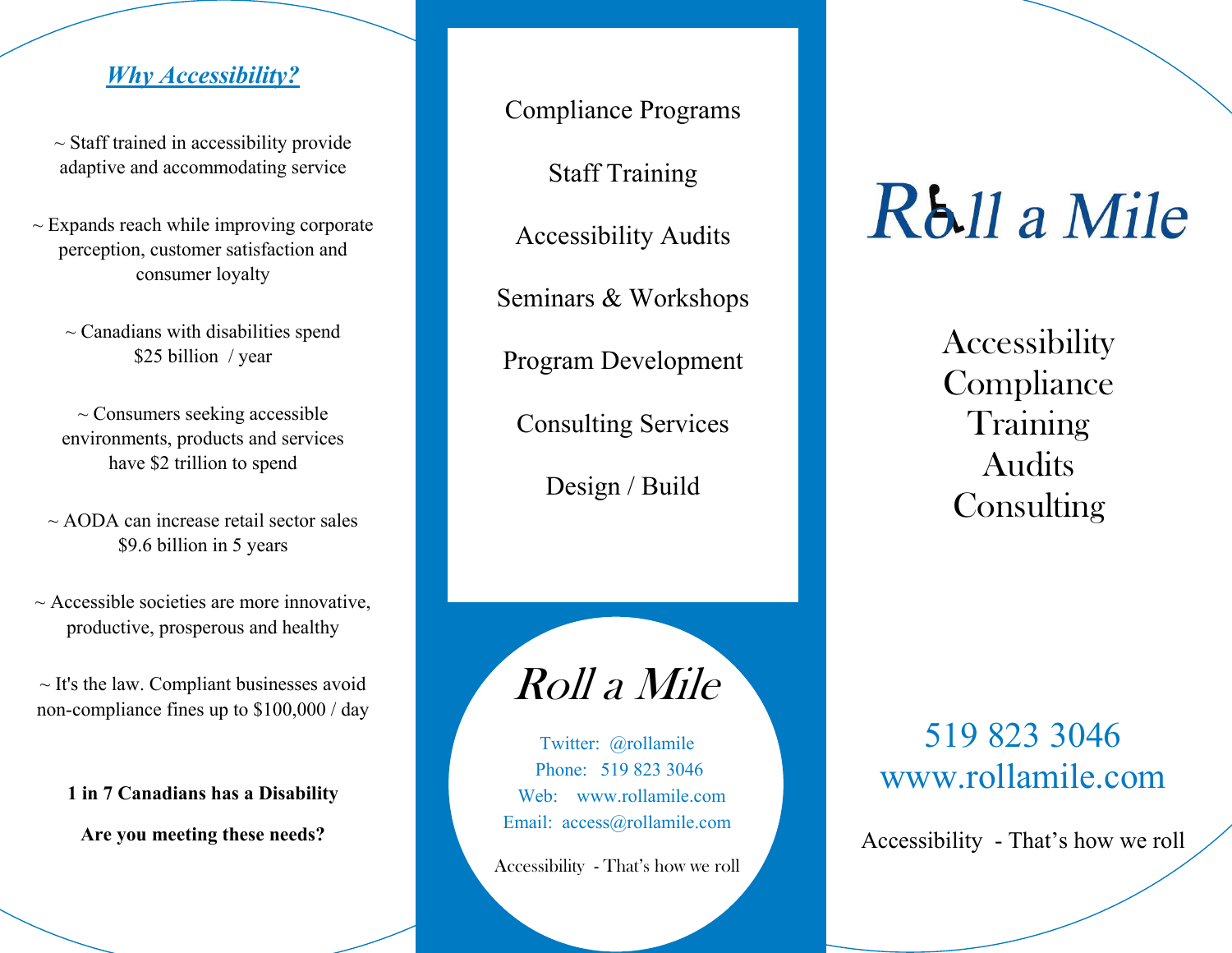Compliance Programs Staff Training Accessibility Audits Seminars & Workshops Program Development Consulting Services Design / Build

# Rb<sub>11</sub> a Mile

**Accessibility Compliance** Training Audits **Consulting** 

Roll a Mile

Twitter: @rollamile Phone: 519 823 3046 Web: www.rollamile.com Email: access@rollamile.com

Accessibility - That's how we roll

519 823 3046 www.rollamile.com

Accessibility - That's how we roll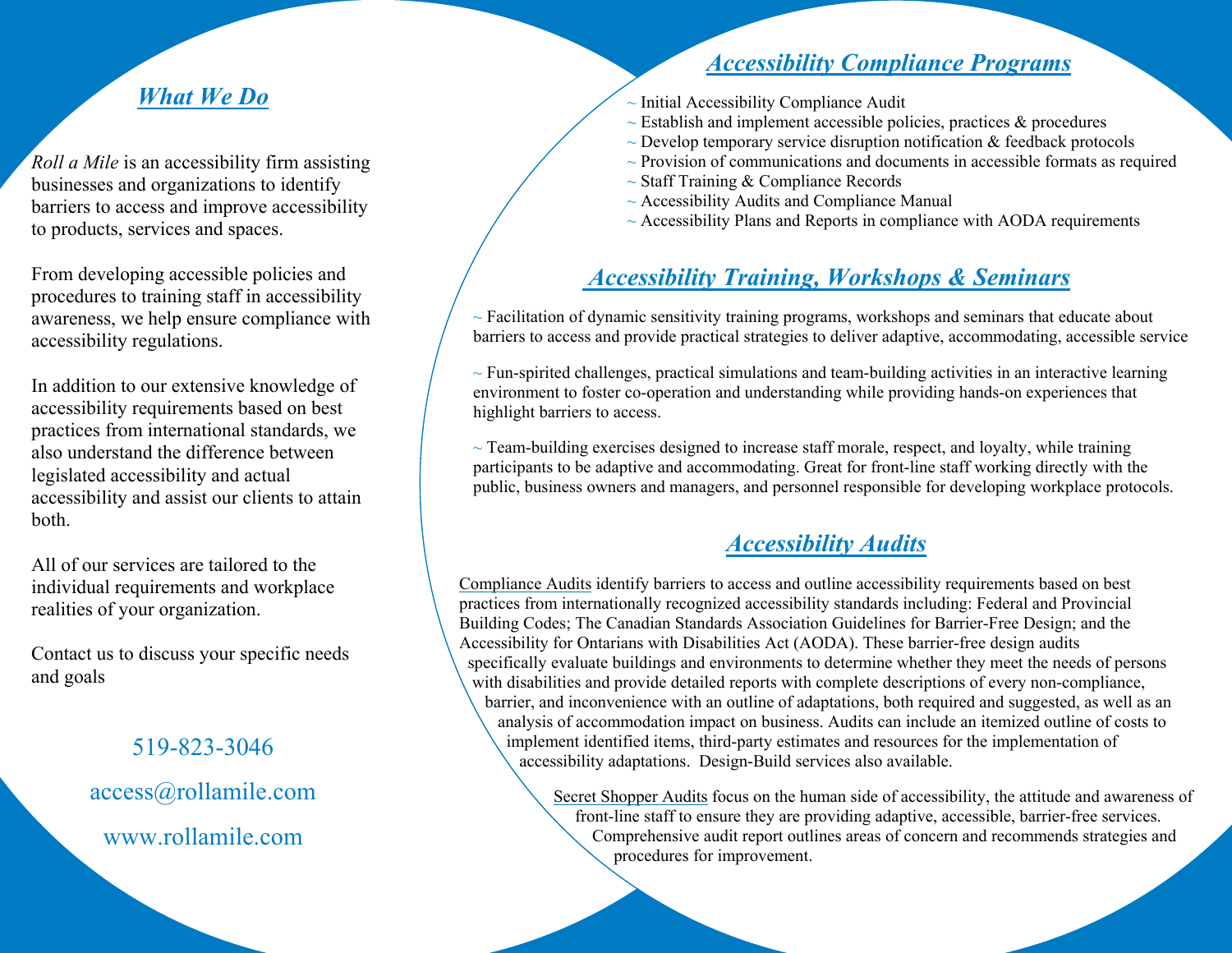## *Accessibility Compliance Programs*

- $\sim$  Initial Accessibility Compliance Audit
- $\sim$  Establish and implement accessible policies, practices  $\&$  procedures
- $\sim$  Develop temporary service disruption notification  $\&$  feedback protocols
- $\sim$  Provision of communications and documents in accessible formats as required
- $\sim$  Staff Training & Compliance Records
- $\sim$  Accessibility Audits and Compliance Manual
- $\sim$  Accessibility Plans and Reports in compliance with AODA requirements

## *Accessibility Training, Workshops & Seminars*

 $\sim$  Facilitation of dynamic sensitivity training programs, workshops and seminars that educate about barriers to access and provide practical strategies to deliver adaptive, accommodating, accessible service

 $\sim$  Fun-spirited challenges, practical simulations and team-building activities in an interactive learning environment to foster co-operation and understanding while providing hands-on experiences that highlight barriers to access.

 $\sim$  Team-building exercises designed to increase staff morale, respect, and loyalty, while training participants to be adaptive and accommodating. Great for front-line staff working directly with the public, business owners and managers, and personnel responsible for developing workplace protocols.

### *Accessibility Audits*

Compliance Audits identify barriers to access and outline accessibility requirements based on best practices from internationally recognized accessibility standards including: Federal and Provincial Building Codes; The Canadian Standards Association Guidelines for Barrier-Free Design; and the Accessibility for Ontarians with Disabilities Act (AODA). These barrier-free design audits specifically evaluate buildings and environments to determine whether they meet the needs of persons with disabilities and provide detailed reports with complete descriptions of every non-compliance, barrier, and inconvenience with an outline of adaptations, both required and suggested, as well as an analysis of accommodation impact on business. Audits can include an itemized outline of costs to implement identified items, third-party estimates and resources for the implementation of accessibility adaptations. Design-Build services also available.

> Secret Shopper Audits focus on the human side of accessibility, the attitude and awareness of front-line staff to ensure they are providing adaptive, accessible, barrier-free services. Comprehensive audit report outlines areas of concern and recommends strategies and procedures for improvement.